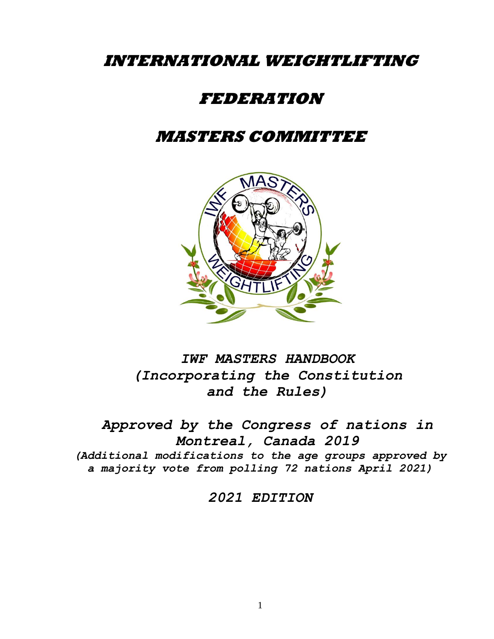# **INTERNATIONAL WEIGHTLIFTING**

# **FEDERATION**

# **MASTERS COMMITTEE**



*IWF MASTERS HANDBOOK (Incorporating the Constitution and the Rules)*

*Approved by the Congress of nations in Montreal, Canada 2019 (Additional modifications to the age groups approved by a majority vote from polling 72 nations April 2021)*

*2021 EDITION*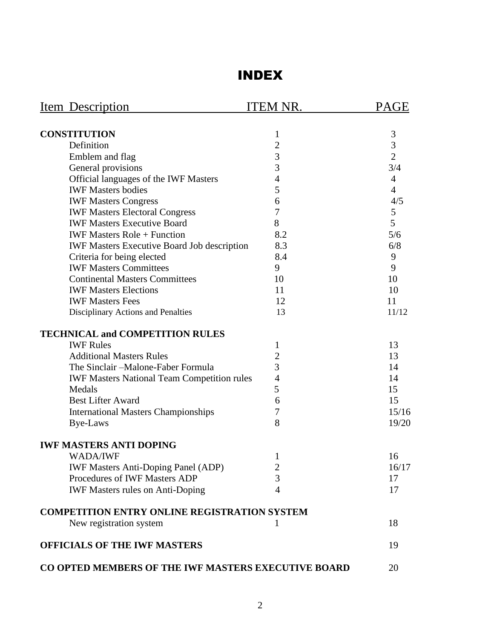# INDEX

| Item Description                                    | <b>ITEM NR.</b> | <b>PAGE</b>    |
|-----------------------------------------------------|-----------------|----------------|
|                                                     |                 |                |
| <b>CONSTITUTION</b>                                 | $\mathbf{1}$    | 3              |
| Definition                                          | $\overline{c}$  | 3              |
| Emblem and flag                                     | 3               | $\overline{2}$ |
| General provisions                                  | 3               | 3/4            |
| Official languages of the IWF Masters               | $\overline{4}$  | 4              |
| <b>IWF Masters bodies</b>                           | 5               | $\overline{4}$ |
| <b>IWF Masters Congress</b>                         | 6               | 4/5            |
| <b>IWF Masters Electoral Congress</b>               | 7               | 5              |
| <b>IWF Masters Executive Board</b>                  | 8               | 5              |
| <b>IWF Masters Role + Function</b>                  | 8.2             | 5/6            |
| <b>IWF Masters Executive Board Job description</b>  | 8.3             | 6/8            |
| Criteria for being elected                          | 8.4             | 9              |
| <b>IWF Masters Committees</b>                       | 9               | 9              |
| <b>Continental Masters Committees</b>               | 10              | 10             |
| <b>IWF Masters Elections</b>                        | 11              | 10             |
| <b>IWF Masters Fees</b>                             | 12              | 11             |
| Disciplinary Actions and Penalties                  | 13              | 11/12          |
| <b>TECHNICAL and COMPETITION RULES</b>              |                 |                |
| <b>IWF Rules</b>                                    | 1               | 13             |
| <b>Additional Masters Rules</b>                     | 2               | 13             |
| The Sinclair-Malone-Faber Formula                   | 3               | 14             |
| <b>IWF Masters National Team Competition rules</b>  | $\overline{4}$  | 14             |
| Medals                                              | 5               | 15             |
| <b>Best Lifter Award</b>                            | 6               | 15             |
| <b>International Masters Championships</b>          | 7               | 15/16          |
| Bye-Laws                                            | 8               | 19/20          |
| <b>IWF MASTERS ANTI DOPING</b>                      |                 |                |
| <b>WADA/IWF</b>                                     | 1               | 16             |
| <b>IWF Masters Anti-Doping Panel (ADP)</b>          | $\overline{2}$  | 16/17          |
| Procedures of IWF Masters ADP                       | $\overline{3}$  | 17             |
| <b>IWF Masters rules on Anti-Doping</b>             | $\overline{4}$  | 17             |
| <b>COMPETITION ENTRY ONLINE REGISTRATION SYSTEM</b> |                 |                |
| New registration system                             | 1               | 18             |
| <b>OFFICIALS OF THE IWF MASTERS</b>                 |                 | 19             |
| CO OPTED MEMBERS OF THE IWF MASTERS EXECUTIVE BOARD |                 | 20             |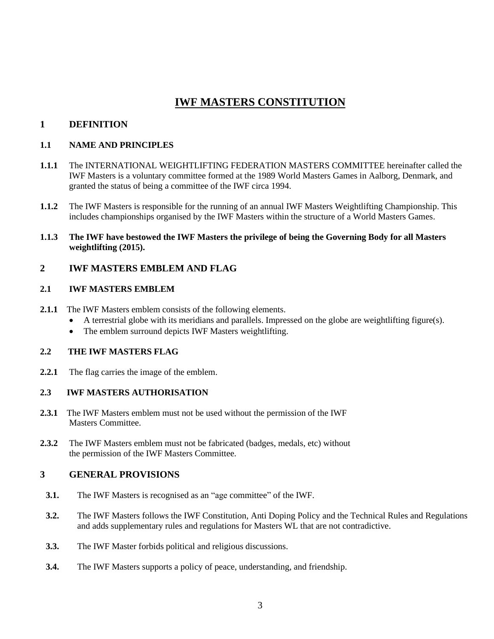# **IWF MASTERS CONSTITUTION**

# **1 DEFINITION**

#### **1.1 NAME AND PRINCIPLES**

- **1.1.1** The INTERNATIONAL WEIGHTLIFTING FEDERATION MASTERS COMMITTEE hereinafter called the IWF Masters is a voluntary committee formed at the 1989 World Masters Games in Aalborg, Denmark, and granted the status of being a committee of the IWF circa 1994.
- **1.1.2** The IWF Masters is responsible for the running of an annual IWF Masters Weightlifting Championship. This includes championships organised by the IWF Masters within the structure of a World Masters Games.
- **1.1.3 The IWF have bestowed the IWF Masters the privilege of being the Governing Body for all Masters weightlifting (2015).**

#### **2 IWF MASTERS EMBLEM AND FLAG**

#### **2.1 IWF MASTERS EMBLEM**

- **2.1.1** The IWF Masters emblem consists of the following elements.
	- A terrestrial globe with its meridians and parallels. Impressed on the globe are weightlifting figure(s).
	- The emblem surround depicts IWF Masters weightlifting.

#### **2.2 THE IWF MASTERS FLAG**

**2.2.1** The flag carries the image of the emblem.

#### **2.3 IWF MASTERS AUTHORISATION**

- **2.3.1** The IWF Masters emblem must not be used without the permission of the IWF Masters Committee.
- **2.3.2** The IWF Masters emblem must not be fabricated (badges, medals, etc) without the permission of the IWF Masters Committee.

# **3 GENERAL PROVISIONS**

- **3.1.** The IWF Masters is recognised as an "age committee" of the IWF.
- **3.2.** The IWF Masters follows the IWF Constitution, Anti Doping Policy and the Technical Rules and Regulations and adds supplementary rules and regulations for Masters WL that are not contradictive.
- **3.3.** The IWF Master forbids political and religious discussions.
- **3.4.** The IWF Masters supports a policy of peace, understanding, and friendship.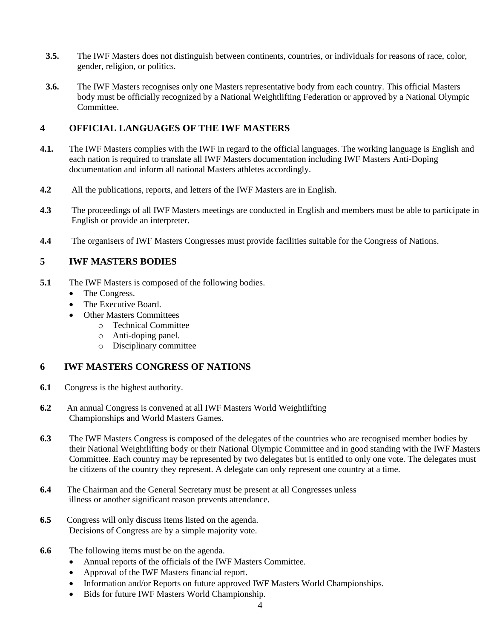- **3.5.** The IWF Masters does not distinguish between continents, countries, or individuals for reasons of race, color, gender, religion, or politics.
- **3.6.** The IWF Masters recognises only one Masters representative body from each country. This official Masters body must be officially recognized by a National Weightlifting Federation or approved by a National Olympic Committee.

# **4 OFFICIAL LANGUAGES OF THE IWF MASTERS**

- **4.1.** The IWF Masters complies with the IWF in regard to the official languages. The working language is English and each nation is required to translate all IWF Masters documentation including IWF Masters Anti-Doping documentation and inform all national Masters athletes accordingly.
- **4.2** All the publications, reports, and letters of the IWF Masters are in English.
- **4.3** The proceedings of all IWF Masters meetings are conducted in English and members must be able to participate in English or provide an interpreter.
- **4.4** The organisers of IWF Masters Congresses must provide facilities suitable for the Congress of Nations.

# **5 IWF MASTERS BODIES**

- **5.1** The IWF Masters is composed of the following bodies.
	- The Congress.
	- The Executive Board.
	- **Other Masters Committees** 
		- o Technical Committee
		- o Anti-doping panel.
		- o Disciplinary committee

# **6 IWF MASTERS CONGRESS OF NATIONS**

- **6.1** Congress is the highest authority.
- **6.2** An annual Congress is convened at all IWF Masters World Weightlifting Championships and World Masters Games.
- **6.3** The IWF Masters Congress is composed of the delegates of the countries who are recognised member bodies by their National Weightlifting body or their National Olympic Committee and in good standing with the IWF Masters Committee. Each country may be represented by two delegates but is entitled to only one vote. The delegates must be citizens of the country they represent. A delegate can only represent one country at a time.
- **6.4** The Chairman and the General Secretary must be present at all Congresses unless illness or another significant reason prevents attendance.
- **6.5** Congress will only discuss items listed on the agenda. Decisions of Congress are by a simple majority vote.
- **6.6** The following items must be on the agenda.
	- Annual reports of the officials of the IWF Masters Committee.
	- Approval of the IWF Masters financial report.
	- Information and/or Reports on future approved IWF Masters World Championships.
	- Bids for future IWF Masters World Championship.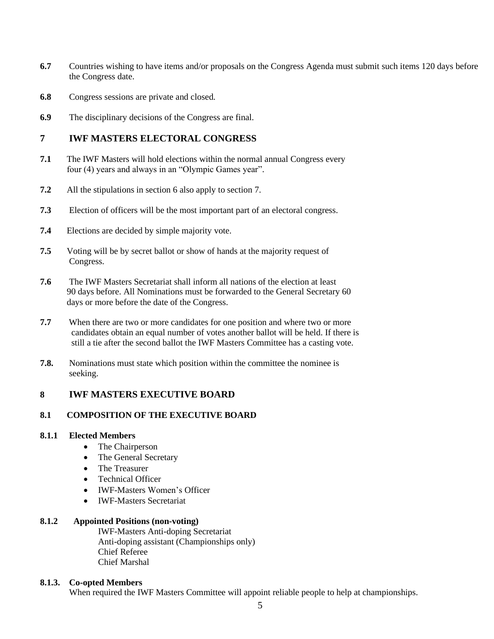- **6.7** Countries wishing to have items and/or proposals on the Congress Agenda must submit such items 120 days before the Congress date.
- **6.8** Congress sessions are private and closed.
- **6.9** The disciplinary decisions of the Congress are final.

#### **7 IWF MASTERS ELECTORAL CONGRESS**

- **7.1** The IWF Masters will hold elections within the normal annual Congress every four (4) years and always in an "Olympic Games year".
- **7.2** All the stipulations in section 6 also apply to section 7.
- **7.3** Election of officers will be the most important part of an electoral congress.
- **7.4** Elections are decided by simple majority vote.
- **7.5** Voting will be by secret ballot or show of hands at the majority request of Congress.
- **7.6** The IWF Masters Secretariat shall inform all nations of the election at least 90 days before. All Nominations must be forwarded to the General Secretary 60 days or more before the date of the Congress.
- **7.7** When there are two or more candidates for one position and where two or more candidates obtain an equal number of votes another ballot will be held. If there is still a tie after the second ballot the IWF Masters Committee has a casting vote.
- **7.8.** Nominations must state which position within the committee the nominee is seeking.

#### **8 IWF MASTERS EXECUTIVE BOARD**

#### **8.1 COMPOSITION OF THE EXECUTIVE BOARD**

#### **8.1.1 Elected Members**

- The Chairperson
- The General Secretary
- The Treasurer
- Technical Officer
- IWF-Masters Women's Officer
- IWF-Masters Secretariat

#### **8.1.2 Appointed Positions (non-voting)**

IWF-Masters Anti-doping Secretariat Anti-doping assistant (Championships only) Chief Referee Chief Marshal

#### **8.1.3. Co-opted Members**

When required the IWF Masters Committee will appoint reliable people to help at championships.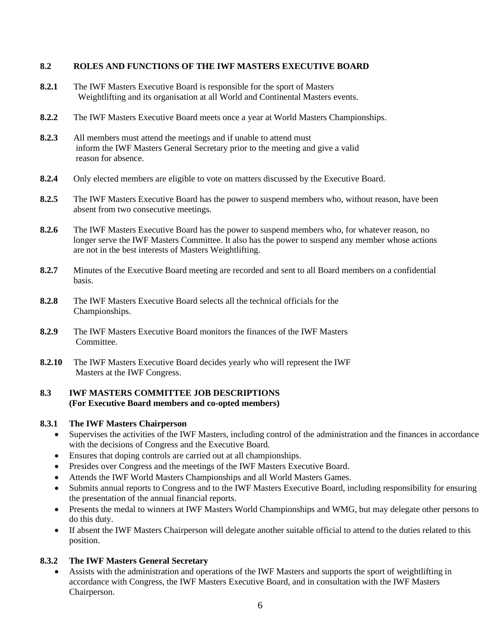#### **8.2 ROLES AND FUNCTIONS OF THE IWF MASTERS EXECUTIVE BOARD**

- **8.2.1** The IWF Masters Executive Board is responsible for the sport of Masters Weightlifting and its organisation at all World and Continental Masters events.
- **8.2.2** The IWF Masters Executive Board meets once a year at World Masters Championships.
- **8.2.3** All members must attend the meetings and if unable to attend must inform the IWF Masters General Secretary prior to the meeting and give a valid reason for absence.
- **8.2.4** Only elected members are eligible to vote on matters discussed by the Executive Board.
- **8.2.5** The IWF Masters Executive Board has the power to suspend members who, without reason, have been absent from two consecutive meetings.
- **8.2.6** The IWF Masters Executive Board has the power to suspend members who, for whatever reason, no longer serve the IWF Masters Committee. It also has the power to suspend any member whose actions are not in the best interests of Masters Weightlifting.
- **8.2.7** Minutes of the Executive Board meeting are recorded and sent to all Board members on a confidential basis.
- **8.2.8** The IWF Masters Executive Board selects all the technical officials for the Championships.
- **8.2.9** The IWF Masters Executive Board monitors the finances of the IWF Masters Committee.
- **8.2.10** The IWF Masters Executive Board decides yearly who will represent the IWF Masters at the IWF Congress.

#### **8.3 IWF MASTERS COMMITTEE JOB DESCRIPTIONS (For Executive Board members and co-opted members)**

#### **8.3.1 The IWF Masters Chairperson**

- Supervises the activities of the IWF Masters, including control of the administration and the finances in accordance with the decisions of Congress and the Executive Board.
- Ensures that doping controls are carried out at all championships.
- Presides over Congress and the meetings of the IWF Masters Executive Board.
- Attends the IWF World Masters Championships and all World Masters Games.
- Submits annual reports to Congress and to the IWF Masters Executive Board, including responsibility for ensuring the presentation of the annual financial reports.
- Presents the medal to winners at IWF Masters World Championships and WMG, but may delegate other persons to do this duty.
- If absent the IWF Masters Chairperson will delegate another suitable official to attend to the duties related to this position.

#### **8.3.2 The IWF Masters General Secretary**

• Assists with the administration and operations of the IWF Masters and supports the sport of weightlifting in accordance with Congress, the IWF Masters Executive Board, and in consultation with the IWF Masters Chairperson.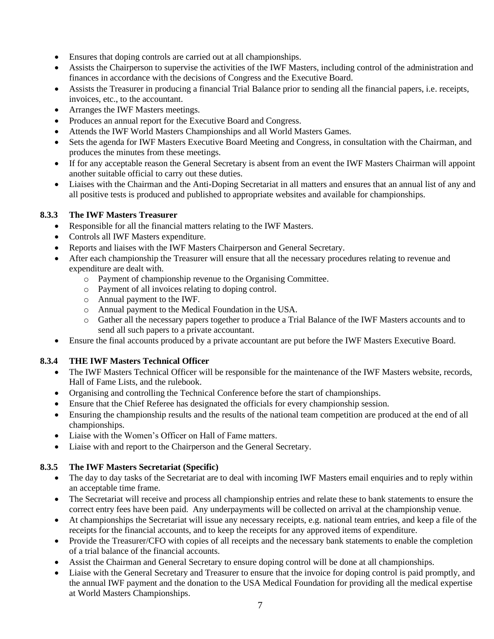- Ensures that doping controls are carried out at all championships.
- Assists the Chairperson to supervise the activities of the IWF Masters, including control of the administration and finances in accordance with the decisions of Congress and the Executive Board.
- Assists the Treasurer in producing a financial Trial Balance prior to sending all the financial papers, i.e. receipts, invoices, etc., to the accountant.
- Arranges the IWF Masters meetings.
- Produces an annual report for the Executive Board and Congress.
- Attends the IWF World Masters Championships and all World Masters Games.
- Sets the agenda for IWF Masters Executive Board Meeting and Congress, in consultation with the Chairman, and produces the minutes from these meetings.
- If for any acceptable reason the General Secretary is absent from an event the IWF Masters Chairman will appoint another suitable official to carry out these duties.
- Liaises with the Chairman and the Anti-Doping Secretariat in all matters and ensures that an annual list of any and all positive tests is produced and published to appropriate websites and available for championships.

# **8.3.3 The IWF Masters Treasurer**

- Responsible for all the financial matters relating to the IWF Masters.
- Controls all IWF Masters expenditure.
- Reports and liaises with the IWF Masters Chairperson and General Secretary.
- After each championship the Treasurer will ensure that all the necessary procedures relating to revenue and expenditure are dealt with.
	- o Payment of championship revenue to the Organising Committee.
	- o Payment of all invoices relating to doping control.
	- o Annual payment to the IWF.
	- o Annual payment to the Medical Foundation in the USA.
	- o Gather all the necessary papers together to produce a Trial Balance of the IWF Masters accounts and to send all such papers to a private accountant.
- Ensure the final accounts produced by a private accountant are put before the IWF Masters Executive Board.

# **8.3.4 THE IWF Masters Technical Officer**

- The IWF Masters Technical Officer will be responsible for the maintenance of the IWF Masters website, records, Hall of Fame Lists, and the rulebook.
- Organising and controlling the Technical Conference before the start of championships.
- Ensure that the Chief Referee has designated the officials for every championship session.
- Ensuring the championship results and the results of the national team competition are produced at the end of all championships.
- Liaise with the Women's Officer on Hall of Fame matters.
- Liaise with and report to the Chairperson and the General Secretary.

## **8.3.5 The IWF Masters Secretariat (Specific)**

- The day to day tasks of the Secretariat are to deal with incoming IWF Masters email enquiries and to reply within an acceptable time frame.
- The Secretariat will receive and process all championship entries and relate these to bank statements to ensure the correct entry fees have been paid. Any underpayments will be collected on arrival at the championship venue.
- At championships the Secretariat will issue any necessary receipts, e.g. national team entries, and keep a file of the receipts for the financial accounts, and to keep the receipts for any approved items of expenditure.
- Provide the Treasurer/CFO with copies of all receipts and the necessary bank statements to enable the completion of a trial balance of the financial accounts.
- Assist the Chairman and General Secretary to ensure doping control will be done at all championships.
- Liaise with the General Secretary and Treasurer to ensure that the invoice for doping control is paid promptly, and the annual IWF payment and the donation to the USA Medical Foundation for providing all the medical expertise at World Masters Championships.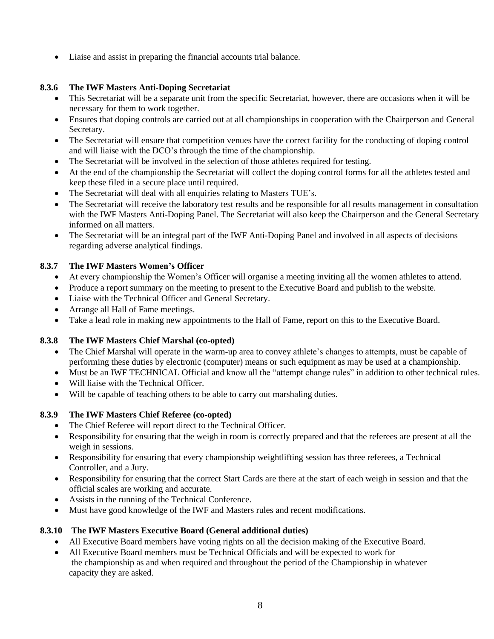• Liaise and assist in preparing the financial accounts trial balance.

# **8.3.6 The IWF Masters Anti-Doping Secretariat**

- This Secretariat will be a separate unit from the specific Secretariat, however, there are occasions when it will be necessary for them to work together.
- Ensures that doping controls are carried out at all championships in cooperation with the Chairperson and General Secretary.
- The Secretariat will ensure that competition venues have the correct facility for the conducting of doping control and will liaise with the DCO's through the time of the championship.
- The Secretariat will be involved in the selection of those athletes required for testing.
- At the end of the championship the Secretariat will collect the doping control forms for all the athletes tested and keep these filed in a secure place until required.
- The Secretariat will deal with all enquiries relating to Masters TUE's.
- The Secretariat will receive the laboratory test results and be responsible for all results management in consultation with the IWF Masters Anti-Doping Panel. The Secretariat will also keep the Chairperson and the General Secretary informed on all matters.
- The Secretariat will be an integral part of the IWF Anti-Doping Panel and involved in all aspects of decisions regarding adverse analytical findings.

## **8.3.7 The IWF Masters Women's Officer**

- At every championship the Women's Officer will organise a meeting inviting all the women athletes to attend.
- Produce a report summary on the meeting to present to the Executive Board and publish to the website.
- Liaise with the Technical Officer and General Secretary.
- Arrange all Hall of Fame meetings.
- Take a lead role in making new appointments to the Hall of Fame, report on this to the Executive Board.

## **8.3.8 The IWF Masters Chief Marshal (co-opted)**

- The Chief Marshal will operate in the warm-up area to convey athlete's changes to attempts, must be capable of performing these duties by electronic (computer) means or such equipment as may be used at a championship.
- Must be an IWF TECHNICAL Official and know all the "attempt change rules" in addition to other technical rules.
- Will liaise with the Technical Officer.
- Will be capable of teaching others to be able to carry out marshaling duties.

## **8.3.9 The IWF Masters Chief Referee (co-opted)**

- The Chief Referee will report direct to the Technical Officer.
- Responsibility for ensuring that the weigh in room is correctly prepared and that the referees are present at all the weigh in sessions.
- Responsibility for ensuring that every championship weightlifting session has three referees, a Technical Controller, and a Jury.
- Responsibility for ensuring that the correct Start Cards are there at the start of each weigh in session and that the official scales are working and accurate.
- Assists in the running of the Technical Conference.
- Must have good knowledge of the IWF and Masters rules and recent modifications.

## **8.3.10 The IWF Masters Executive Board (General additional duties)**

- All Executive Board members have voting rights on all the decision making of the Executive Board.
- All Executive Board members must be Technical Officials and will be expected to work for the championship as and when required and throughout the period of the Championship in whatever capacity they are asked.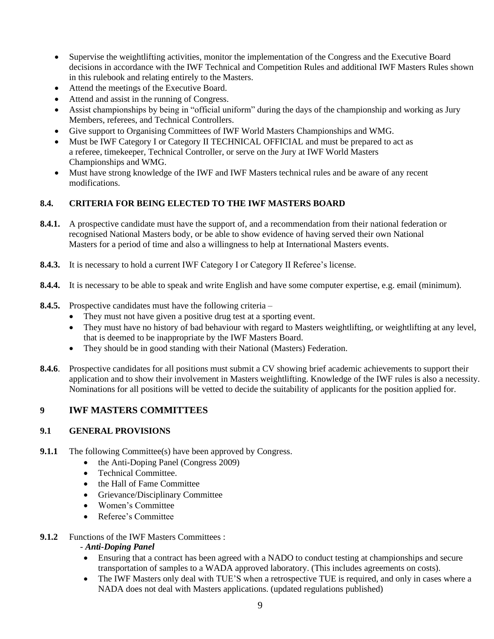- Supervise the weightlifting activities, monitor the implementation of the Congress and the Executive Board decisions in accordance with the IWF Technical and Competition Rules and additional IWF Masters Rules shown in this rulebook and relating entirely to the Masters.
- Attend the meetings of the Executive Board.
- Attend and assist in the running of Congress.
- Assist championships by being in "official uniform" during the days of the championship and working as Jury Members, referees, and Technical Controllers.
- Give support to Organising Committees of IWF World Masters Championships and WMG.
- Must be IWF Category I or Category II TECHNICAL OFFICIAL and must be prepared to act as a referee, timekeeper, Technical Controller, or serve on the Jury at IWF World Masters Championships and WMG.
- Must have strong knowledge of the IWF and IWF Masters technical rules and be aware of any recent modifications.

# **8.4. CRITERIA FOR BEING ELECTED TO THE IWF MASTERS BOARD**

- **8.4.1.** A prospective candidate must have the support of, and a recommendation from their national federation or recognised National Masters body, or be able to show evidence of having served their own National Masters for a period of time and also a willingness to help at International Masters events.
- **8.4.3.** It is necessary to hold a current IWF Category I or Category II Referee's license.
- **8.4.4.** It is necessary to be able to speak and write English and have some computer expertise, e.g. email (minimum).
- **8.4.5.** Prospective candidates must have the following criteria
	- They must not have given a positive drug test at a sporting event.
	- They must have no history of bad behaviour with regard to Masters weightlifting, or weightlifting at any level, that is deemed to be inappropriate by the IWF Masters Board.
	- They should be in good standing with their National (Masters) Federation.
- **8.4.6**. Prospective candidates for all positions must submit a CV showing brief academic achievements to support their application and to show their involvement in Masters weightlifting. Knowledge of the IWF rules is also a necessity. Nominations for all positions will be vetted to decide the suitability of applicants for the position applied for.

# **9 IWF MASTERS COMMITTEES**

## **9.1 GENERAL PROVISIONS**

- **9.1.1** The following Committee(s) have been approved by Congress.
	- the Anti-Doping Panel (Congress 2009)
	- Technical Committee.
	- the Hall of Fame Committee
	- Grievance/Disciplinary Committee
	- Women's Committee
	- Referee's Committee
- **9.1.2** Functions of the IWF Masters Committees :

#### - *Anti-Doping Panel*

- Ensuring that a contract has been agreed with a NADO to conduct testing at championships and secure transportation of samples to a WADA approved laboratory. (This includes agreements on costs).
- The IWF Masters only deal with TUE'S when a retrospective TUE is required, and only in cases where a NADA does not deal with Masters applications. (updated regulations published)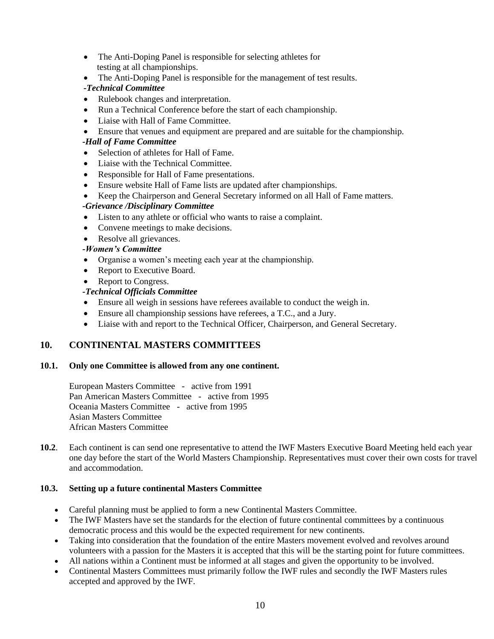- The Anti-Doping Panel is responsible for selecting athletes for testing at all championships.
- The Anti-Doping Panel is responsible for the management of test results.

# *-Technical Committee*

- Rulebook changes and interpretation.
- Run a Technical Conference before the start of each championship.
- Liaise with Hall of Fame Committee.
- Ensure that venues and equipment are prepared and are suitable for the championship.

#### *-Hall of Fame Committee*

- Selection of athletes for Hall of Fame.
- Liaise with the Technical Committee.
- Responsible for Hall of Fame presentations.
- Ensure website Hall of Fame lists are updated after championships.
- Keep the Chairperson and General Secretary informed on all Hall of Fame matters.  *-Grievance /Disciplinary Committee*
- Listen to any athlete or official who wants to raise a complaint.
- Convene meetings to make decisions.
- Resolve all grievances.

#### *-Women's Committee*

- Organise a women's meeting each year at the championship.
- Report to Executive Board.
- Report to Congress.

#### *-Technical Officials Committee*

- Ensure all weigh in sessions have referees available to conduct the weigh in.
- Ensure all championship sessions have referees, a T.C., and a Jury.
- Liaise with and report to the Technical Officer, Chairperson, and General Secretary.

## **10. CONTINENTAL MASTERS COMMITTEES**

#### **10.1. Only one Committee is allowed from any one continent.**

European Masters Committee - active from 1991 Pan American Masters Committee - active from 1995 Oceania Masters Committee - active from 1995 Asian Masters Committee African Masters Committee

**10.2**. Each continent is can send one representative to attend the IWF Masters Executive Board Meeting held each year one day before the start of the World Masters Championship. Representatives must cover their own costs for travel and accommodation.

## **10.3. Setting up a future continental Masters Committee**

- Careful planning must be applied to form a new Continental Masters Committee.
- The IWF Masters have set the standards for the election of future continental committees by a continuous democratic process and this would be the expected requirement for new continents.
- Taking into consideration that the foundation of the entire Masters movement evolved and revolves around volunteers with a passion for the Masters it is accepted that this will be the starting point for future committees.
- All nations within a Continent must be informed at all stages and given the opportunity to be involved.
- Continental Masters Committees must primarily follow the IWF rules and secondly the IWF Masters rules accepted and approved by the IWF.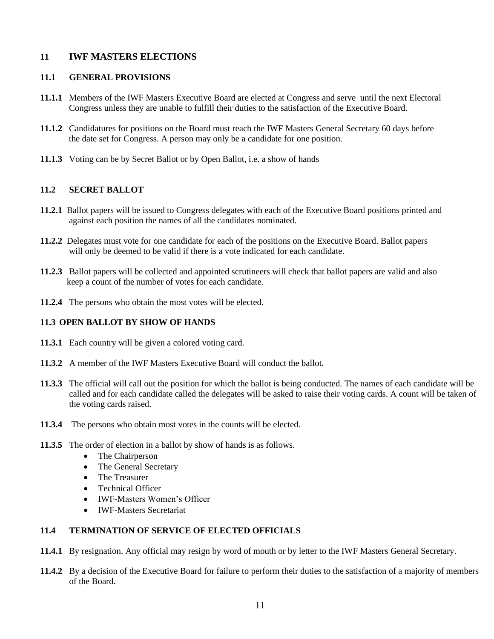# **11 IWF MASTERS ELECTIONS**

#### **11.1 GENERAL PROVISIONS**

- **11.1.1** Members of the IWF Masters Executive Board are elected at Congress and serve until the next Electoral Congress unless they are unable to fulfill their duties to the satisfaction of the Executive Board.
- **11.1.2** Candidatures for positions on the Board must reach the IWF Masters General Secretary 60 days before the date set for Congress. A person may only be a candidate for one position.
- **11.1.3** Voting can be by Secret Ballot or by Open Ballot, i.e. a show of hands

## **11.2 SECRET BALLOT**

- **11.2.1** Ballot papers will be issued to Congress delegates with each of the Executive Board positions printed and against each position the names of all the candidates nominated.
- **11.2.2** Delegates must vote for one candidate for each of the positions on the Executive Board. Ballot papers will only be deemed to be valid if there is a vote indicated for each candidate.
- **11.2.3** Ballot papers will be collected and appointed scrutineers will check that ballot papers are valid and also keep a count of the number of votes for each candidate.
- **11.2.4** The persons who obtain the most votes will be elected.

## **11.3 OPEN BALLOT BY SHOW OF HANDS**

- **11.3.1** Each country will be given a colored voting card.
- **11.3.2** A member of the IWF Masters Executive Board will conduct the ballot.
- **11.3.3** The official will call out the position for which the ballot is being conducted. The names of each candidate will be called and for each candidate called the delegates will be asked to raise their voting cards. A count will be taken of the voting cards raised.
- **11.3.4** The persons who obtain most votes in the counts will be elected.
- **11.3.5** The order of election in a ballot by show of hands is as follows.
	- The Chairperson
	- The General Secretary
	- The Treasurer
	- Technical Officer
	- IWF-Masters Women's Officer
	- IWF-Masters Secretariat

## **11.4 TERMINATION OF SERVICE OF ELECTED OFFICIALS**

- **11.4.1** By resignation. Any official may resign by word of mouth or by letter to the IWF Masters General Secretary.
- **11.4.2** By a decision of the Executive Board for failure to perform their duties to the satisfaction of a majority of members of the Board.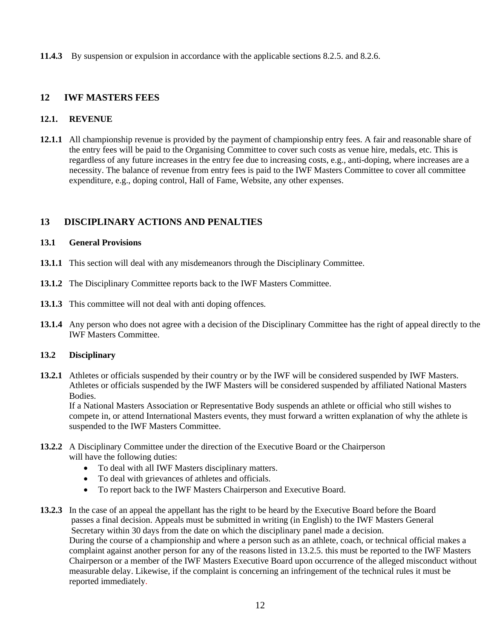**11.4.3** By suspension or expulsion in accordance with the applicable sections 8.2.5. and 8.2.6.

## **12 IWF MASTERS FEES**

#### **12.1. REVENUE**

**12.1.1** All championship revenue is provided by the payment of championship entry fees. A fair and reasonable share of the entry fees will be paid to the Organising Committee to cover such costs as venue hire, medals, etc. This is regardless of any future increases in the entry fee due to increasing costs, e.g., anti-doping, where increases are a necessity. The balance of revenue from entry fees is paid to the IWF Masters Committee to cover all committee expenditure, e.g., doping control, Hall of Fame, Website, any other expenses.

# **13 DISCIPLINARY ACTIONS AND PENALTIES**

#### **13.1 General Provisions**

- **13.1.1** This section will deal with any misdemeanors through the Disciplinary Committee.
- **13.1.2** The Disciplinary Committee reports back to the IWF Masters Committee.
- **13.1.3** This committee will not deal with anti doping offences.
- **13.1.4** Any person who does not agree with a decision of the Disciplinary Committee has the right of appeal directly to the IWF Masters Committee.

#### **13.2 Disciplinary**

**13.2.1** Athletes or officials suspended by their country or by the IWF will be considered suspended by IWF Masters. Athletes or officials suspended by the IWF Masters will be considered suspended by affiliated National Masters Bodies.

If a National Masters Association or Representative Body suspends an athlete or official who still wishes to compete in, or attend International Masters events, they must forward a written explanation of why the athlete is suspended to the IWF Masters Committee.

#### **13.2.2** A Disciplinary Committee under the direction of the Executive Board or the Chairperson will have the following duties:

- To deal with all IWF Masters disciplinary matters.
- To deal with grievances of athletes and officials.
- To report back to the IWF Masters Chairperson and Executive Board.
- **13.2.3** In the case of an appeal the appellant has the right to be heard by the Executive Board before the Board passes a final decision. Appeals must be submitted in writing (in English) to the IWF Masters General Secretary within 30 days from the date on which the disciplinary panel made a decision. During the course of a championship and where a person such as an athlete, coach, or technical official makes a complaint against another person for any of the reasons listed in 13.2.5. this must be reported to the IWF Masters Chairperson or a member of the IWF Masters Executive Board upon occurrence of the alleged misconduct without measurable delay. Likewise, if the complaint is concerning an infringement of the technical rules it must be reported immediately.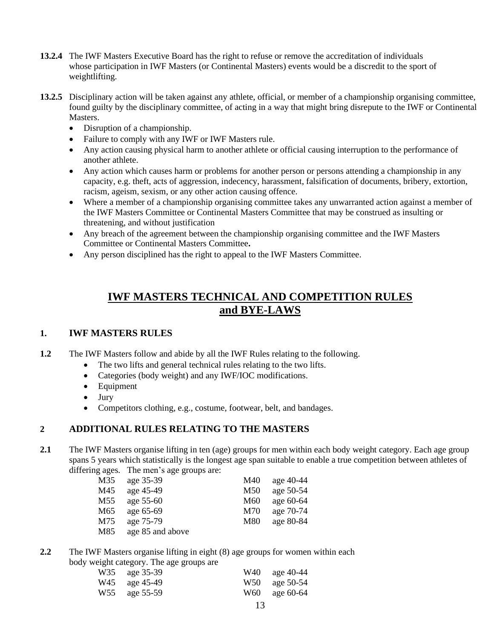- **13.2.4** The IWF Masters Executive Board has the right to refuse or remove the accreditation of individuals whose participation in IWF Masters (or Continental Masters) events would be a discredit to the sport of weightlifting.
- **13.2.5** Disciplinary action will be taken against any athlete, official, or member of a championship organising committee, found guilty by the disciplinary committee, of acting in a way that might bring disrepute to the IWF or Continental Masters.
	- Disruption of a championship.
	- Failure to comply with any IWF or IWF Masters rule.
	- Any action causing physical harm to another athlete or official causing interruption to the performance of another athlete.
	- Any action which causes harm or problems for another person or persons attending a championship in any capacity, e.g. theft, acts of aggression, indecency, harassment, falsification of documents, bribery, extortion, racism, ageism, sexism, or any other action causing offence.
	- Where a member of a championship organising committee takes any unwarranted action against a member of the IWF Masters Committee or Continental Masters Committee that may be construed as insulting or threatening, and without justification
	- Any breach of the agreement between the championship organising committee and the IWF Masters Committee or Continental Masters Committee**.**
	- Any person disciplined has the right to appeal to the IWF Masters Committee.

# **IWF MASTERS TECHNICAL AND COMPETITION RULES and BYE-LAWS**

# **1. IWF MASTERS RULES**

- **1.2** The IWF Masters follow and abide by all the IWF Rules relating to the following.
	- The two lifts and general technical rules relating to the two lifts.
	- Categories (body weight) and any IWF/IOC modifications.
	- Equipment
	- Jury
	- Competitors clothing, e.g., costume, footwear, belt, and bandages.

# **2 ADDITIONAL RULES RELATING TO THE MASTERS**

**2.1** The IWF Masters organise lifting in ten (age) groups for men within each body weight category. Each age group spans 5 years which statistically is the longest age span suitable to enable a true competition between athletes of differing ages. The men's age groups are:

| M35             | age 35-39        | M40 | age 40-44 |
|-----------------|------------------|-----|-----------|
| M45             | age 45-49        | M50 | age 50-54 |
| M <sub>55</sub> | age $55-60$      | M60 | age 60-64 |
| M65             | age 65-69        | M70 | age 70-74 |
| M75             | age 75-79        | M80 | age 80-84 |
| M85             | age 85 and above |     |           |

**2.2** The IWF Masters organise lifting in eight (8) age groups for women within each body weight category. The age groups are

| W35 age 35-39 | W40 age 40-44 |
|---------------|---------------|
| W45 age 45-49 | W50 age 50-54 |
| W55 age 55-59 | W60 age 60-64 |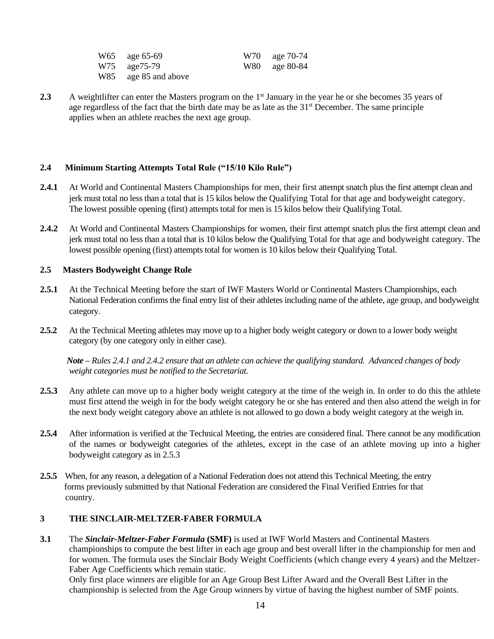| W65 age 65-69        | W70 age 70-74 |
|----------------------|---------------|
| W75 age75-79         | W80 age 80-84 |
| W85 age 85 and above |               |

**2.3** A weightlifter can enter the Masters program on the 1<sup>st</sup> January in the year he or she becomes 35 years of age regardless of the fact that the birth date may be as late as the  $31<sup>st</sup>$  December. The same principle applies when an athlete reaches the next age group.

#### **2.4 Minimum Starting Attempts Total Rule ("15/10 Kilo Rule")**

- **2.4.1** At World and Continental Masters Championships for men, their first attempt snatch plus the first attempt clean and jerk must total no less than a total that is 15 kilos below the Qualifying Total for that age and bodyweight category. The lowest possible opening (first) attempts total for men is 15 kilos below their Qualifying Total.
- **2.4.2** At World and Continental Masters Championships for women, their first attempt snatch plus the first attempt clean and jerk must total no less than a total that is 10 kilos below the Qualifying Total for that age and bodyweight category. The lowest possible opening (first) attempts total for women is 10 kilos below their Qualifying Total.

#### **2.5 Masters Bodyweight Change Rule**

- **2.5.1** At the Technical Meeting before the start of IWF Masters World or Continental Masters Championships, each National Federation confirms the final entry list of their athletes including name of the athlete, age group, and bodyweight category.
- **2.5.2** At the Technical Meeting athletes may move up to a higher body weight category or down to a lower body weight category (by one category only in either case).

*Note – Rules 2.4.1 and 2.4.2 ensure that an athlete can achieve the qualifying standard. Advanced changes of body weight categories must be notified to the Secretariat.*

- **2.5.3** Any athlete can move up to a higher body weight category at the time of the weigh in. In order to do this the athlete must first attend the weigh in for the body weight category he or she has entered and then also attend the weigh in for the next body weight category above an athlete is not allowed to go down a body weight category at the weigh in.
- **2.5.4** After information is verified at the Technical Meeting, the entries are considered final. There cannot be any modification of the names or bodyweight categories of the athletes, except in the case of an athlete moving up into a higher bodyweight category as in 2.5.3
- **2.5.5** When, for any reason, a delegation of a National Federation does not attend this Technical Meeting, the entry forms previously submitted by that National Federation are considered the Final Verified Entries for that country.

#### **3 THE SINCLAIR-MELTZER-FABER FORMULA**

**3.1** The *Sinclair-Meltzer-Faber Formula* **(SMF)** is used at IWF World Masters and Continental Masters championships to compute the best lifter in each age group and best overall lifter in the championship for men and for women. The formula uses the Sinclair Body Weight Coefficients (which change every 4 years) and the Meltzer-Faber Age Coefficients which remain static.

Only first place winners are eligible for an Age Group Best Lifter Award and the Overall Best Lifter in the championship is selected from the Age Group winners by virtue of having the highest number of SMF points.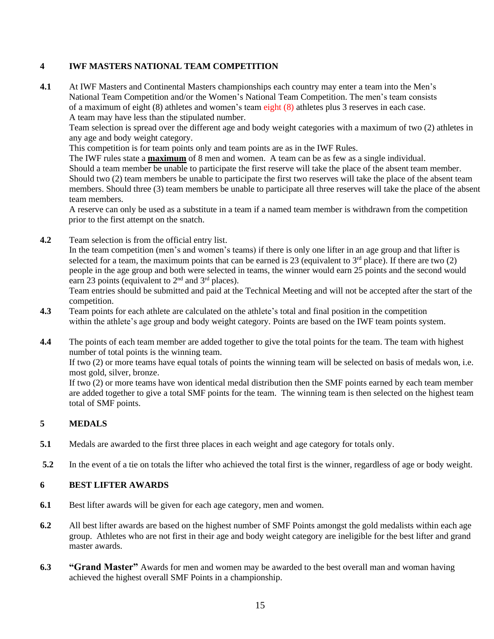# **4 IWF MASTERS NATIONAL TEAM COMPETITION**

**4.1** At IWF Masters and Continental Masters championships each country may enter a team into the Men's National Team Competition and/or the Women's National Team Competition. The men's team consists of a maximum of eight (8) athletes and women's team eight (8) athletes plus 3 reserves in each case. A team may have less than the stipulated number.

Team selection is spread over the different age and body weight categories with a maximum of two (2) athletes in any age and body weight category.

This competition is for team points only and team points are as in the IWF Rules.

The IWF rules state a **maximum** of 8 men and women. A team can be as few as a single individual. Should a team member be unable to participate the first reserve will take the place of the absent team member. Should two (2) team members be unable to participate the first two reserves will take the place of the absent team members. Should three (3) team members be unable to participate all three reserves will take the place of the absent team members.

A reserve can only be used as a substitute in a team if a named team member is withdrawn from the competition prior to the first attempt on the snatch.

**4.2** Team selection is from the official entry list.

In the team competition (men's and women's teams) if there is only one lifter in an age group and that lifter is selected for a team, the maximum points that can be earned is 23 (equivalent to  $3<sup>rd</sup>$  place). If there are two (2) people in the age group and both were selected in teams, the winner would earn 25 points and the second would earn 23 points (equivalent to  $2<sup>nd</sup>$  and  $3<sup>rd</sup>$  places).

Team entries should be submitted and paid at the Technical Meeting and will not be accepted after the start of the competition.

- **4.3** Team points for each athlete are calculated on the athlete's total and final position in the competition within the athlete's age group and body weight category. Points are based on the IWF team points system.
- **4.4** The points of each team member are added together to give the total points for the team. The team with highest number of total points is the winning team.

If two (2) or more teams have equal totals of points the winning team will be selected on basis of medals won, i.e. most gold, silver, bronze.

If two (2) or more teams have won identical medal distribution then the SMF points earned by each team member are added together to give a total SMF points for the team. The winning team is then selected on the highest team total of SMF points.

# **5 MEDALS**

- **5.1** Medals are awarded to the first three places in each weight and age category for totals only.
- **5.2** In the event of a tie on totals the lifter who achieved the total first is the winner, regardless of age or body weight.

## **6 BEST LIFTER AWARDS**

- **6.1** Best lifter awards will be given for each age category, men and women.
- **6.2** All best lifter awards are based on the highest number of SMF Points amongst the gold medalists within each age group. Athletes who are not first in their age and body weight category are ineligible for the best lifter and grand master awards.
- **6.3 "Grand Master"** Awards for men and women may be awarded to the best overall man and woman having achieved the highest overall SMF Points in a championship.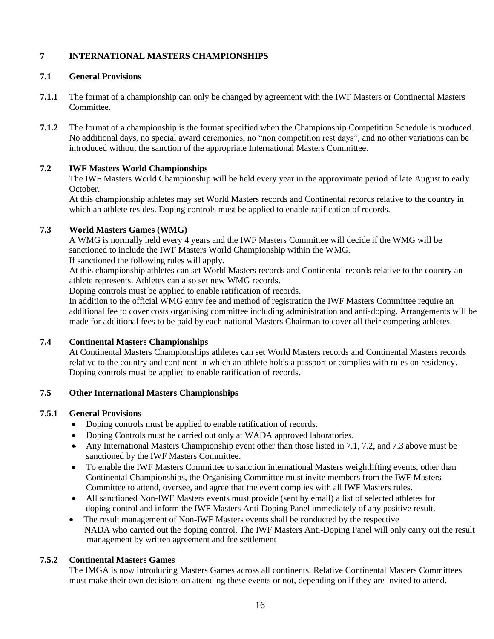# **7 INTERNATIONAL MASTERS CHAMPIONSHIPS**

#### **7.1 General Provisions**

- **7.1.1** The format of a championship can only be changed by agreement with the IWF Masters or Continental Masters Committee.
- **7.1.2** The format of a championship is the format specified when the Championship Competition Schedule is produced. No additional days, no special award ceremonies, no "non competition rest days", and no other variations can be introduced without the sanction of the appropriate International Masters Committee.

#### **7.2 IWF Masters World Championships**

The IWF Masters World Championship will be held every year in the approximate period of late August to early October.

At this championship athletes may set World Masters records and Continental records relative to the country in which an athlete resides. Doping controls must be applied to enable ratification of records.

#### **7.3 World Masters Games (WMG)**

A WMG is normally held every 4 years and the IWF Masters Committee will decide if the WMG will be sanctioned to include the IWF Masters World Championship within the WMG. If sanctioned the following rules will apply.

At this championship athletes can set World Masters records and Continental records relative to the country an athlete represents. Athletes can also set new WMG records.

Doping controls must be applied to enable ratification of records.

In addition to the official WMG entry fee and method of registration the IWF Masters Committee require an additional fee to cover costs organising committee including administration and anti-doping. Arrangements will be made for additional fees to be paid by each national Masters Chairman to cover all their competing athletes.

#### **7.4 Continental Masters Championships**

At Continental Masters Championships athletes can set World Masters records and Continental Masters records relative to the country and continent in which an athlete holds a passport or complies with rules on residency. Doping controls must be applied to enable ratification of records.

#### **7.5 Other International Masters Championships**

#### **7.5.1 General Provisions**

- Doping controls must be applied to enable ratification of records.
- Doping Controls must be carried out only at WADA approved laboratories.
- Any International Masters Championship event other than those listed in 7.1, 7.2, and 7.3 above must be sanctioned by the IWF Masters Committee.
- To enable the IWF Masters Committee to sanction international Masters weightlifting events, other than Continental Championships, the Organising Committee must invite members from the IWF Masters Committee to attend, oversee, and agree that the event complies with all IWF Masters rules.
- All sanctioned Non-IWF Masters events must provide (sent by email) a list of selected athletes for doping control and inform the IWF Masters Anti Doping Panel immediately of any positive result.
- The result management of Non-IWF Masters events shall be conducted by the respective NADA who carried out the doping control. The IWF Masters Anti-Doping Panel will only carry out the result management by written agreement and fee settlement

#### **7.5.2 Continental Masters Games**

The IMGA is now introducing Masters Games across all continents. Relative Continental Masters Committees must make their own decisions on attending these events or not, depending on if they are invited to attend.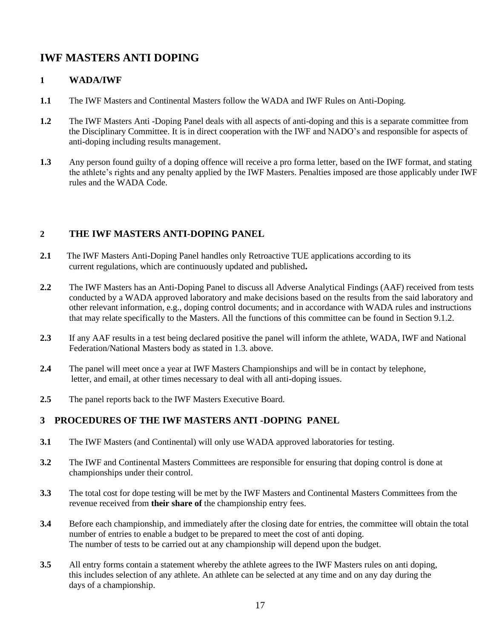# **IWF MASTERS ANTI DOPING**

# **1 WADA/IWF**

- **1.1** The IWF Masters and Continental Masters follow the WADA and IWF Rules on Anti-Doping.
- **1.2** The IWF Masters Anti -Doping Panel deals with all aspects of anti-doping and this is a separate committee from the Disciplinary Committee. It is in direct cooperation with the IWF and NADO's and responsible for aspects of anti-doping including results management.
- **1.3** Any person found guilty of a doping offence will receive a pro forma letter, based on the IWF format, and stating the athlete's rights and any penalty applied by the IWF Masters. Penalties imposed are those applicably under IWF rules and the WADA Code.

# **2 THE IWF MASTERS ANTI-DOPING PANEL**

- 2.1 The IWF Masters Anti-Doping Panel handles only Retroactive TUE applications according to its current regulations, which are continuously updated and published**.**
- **2.2** The IWF Masters has an Anti-Doping Panel to discuss all Adverse Analytical Findings (AAF) received from tests conducted by a WADA approved laboratory and make decisions based on the results from the said laboratory and other relevant information, e.g., doping control documents; and in accordance with WADA rules and instructions that may relate specifically to the Masters. All the functions of this committee can be found in Section 9.1.2.
- **2.3** If any AAF results in a test being declared positive the panel will inform the athlete, WADA, IWF and National Federation/National Masters body as stated in 1.3. above.
- **2.4** The panel will meet once a year at IWF Masters Championships and will be in contact by telephone, letter, and email, at other times necessary to deal with all anti-doping issues.
- **2.5** The panel reports back to the IWF Masters Executive Board.

# **3 PROCEDURES OF THE IWF MASTERS ANTI -DOPING PANEL**

- **3.1** The IWF Masters (and Continental) will only use WADA approved laboratories for testing.
- **3.2** The IWF and Continental Masters Committees are responsible for ensuring that doping control is done at championships under their control.
- **3.3** The total cost for dope testing will be met by the IWF Masters and Continental Masters Committees from the revenue received from **their share of** the championship entry fees.
- **3.4** Before each championship, and immediately after the closing date for entries, the committee will obtain the total number of entries to enable a budget to be prepared to meet the cost of anti doping. The number of tests to be carried out at any championship will depend upon the budget.
- **3.5** All entry forms contain a statement whereby the athlete agrees to the IWF Masters rules on anti doping, this includes selection of any athlete. An athlete can be selected at any time and on any day during the days of a championship.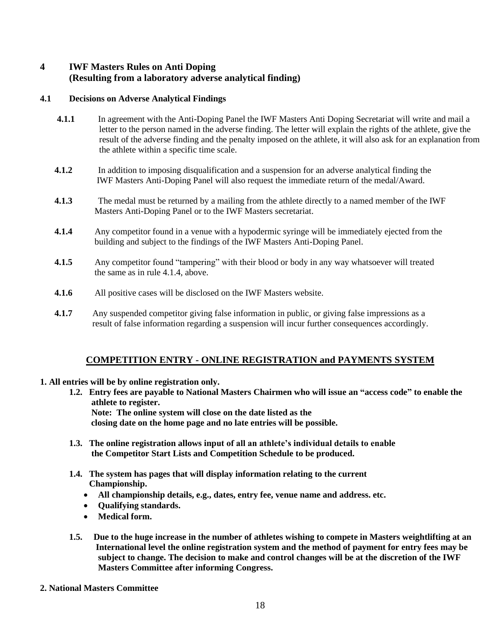# **4 IWF Masters Rules on Anti Doping (Resulting from a laboratory adverse analytical finding)**

#### **4.1 Decisions on Adverse Analytical Findings**

- **4.1.1** In agreement with the Anti-Doping Panel the IWF Masters Anti Doping Secretariat will write and mail a letter to the person named in the adverse finding. The letter will explain the rights of the athlete, give the result of the adverse finding and the penalty imposed on the athlete, it will also ask for an explanation from the athlete within a specific time scale.
- **4.1.2** In addition to imposing disqualification and a suspension for an adverse analytical finding the IWF Masters Anti-Doping Panel will also request the immediate return of the medal/Award.
- **4.1.3** The medal must be returned by a mailing from the athlete directly to a named member of the IWF Masters Anti-Doping Panel or to the IWF Masters secretariat.
- **4.1.4** Any competitor found in a venue with a hypodermic syringe will be immediately ejected from the building and subject to the findings of the IWF Masters Anti-Doping Panel.
- **4.1.5** Any competitor found "tampering" with their blood or body in any way whatsoever will treated the same as in rule 4.1.4, above.
- **4.1.6** All positive cases will be disclosed on the IWF Masters website.
- **4.1.7** Any suspended competitor giving false information in public, or giving false impressions as a result of false information regarding a suspension will incur further consequences accordingly.

# **COMPETITION ENTRY - ONLINE REGISTRATION and PAYMENTS SYSTEM**

#### **1. All entries will be by online registration only.**

**1.2. Entry fees are payable to National Masters Chairmen who will issue an "access code" to enable the athlete to register. Note: The online system will close on the date listed as the** 

 **closing date on the home page and no late entries will be possible.** 

- **1.3. The online registration allows input of all an athlete's individual details to enable the Competitor Start Lists and Competition Schedule to be produced.**
- **1.4. The system has pages that will display information relating to the current Championship.**
	- **All championship details, e.g., dates, entry fee, venue name and address. etc.**
	- **Qualifying standards.**
	- **Medical form.**
- **1.5. Due to the huge increase in the number of athletes wishing to compete in Masters weightlifting at an International level the online registration system and the method of payment for entry fees may be subject to change. The decision to make and control changes will be at the discretion of the IWF Masters Committee after informing Congress.**

#### **2. National Masters Committee**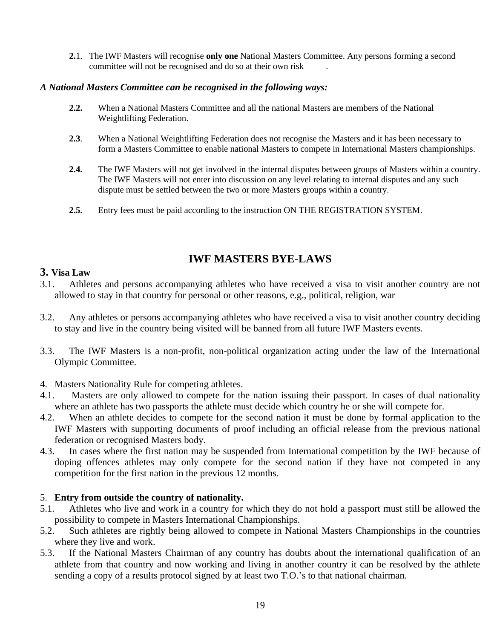**2.**1. The IWF Masters will recognise **only one** National Masters Committee. Any persons forming a second committee will not be recognised and do so at their own risk

# *A National Masters Committee can be recognised in the following ways:*

- **2.2.** When a National Masters Committee and all the national Masters are members of the National Weightlifting Federation.
- **2.3**. When a National Weightlifting Federation does not recognise the Masters and it has been necessary to form a Masters Committee to enable national Masters to compete in International Masters championships.
- **2.4.** The IWF Masters will not get involved in the internal disputes between groups of Masters within a country. The IWF Masters will not enter into discussion on any level relating to internal disputes and any such dispute must be settled between the two or more Masters groups within a country.
- **2.5.** Entry fees must be paid according to the instruction ON THE REGISTRATION SYSTEM.

# **IWF MASTERS BYE-LAWS**

# **3. Visa Law**

- 3.1. Athletes and persons accompanying athletes who have received a visa to visit another country are not allowed to stay in that country for personal or other reasons, e.g., political, religion, war
- 3.2. Any athletes or persons accompanying athletes who have received a visa to visit another country deciding to stay and live in the country being visited will be banned from all future IWF Masters events.
- 3.3. The IWF Masters is a non-profit, non-political organization acting under the law of the International Olympic Committee.
- 4. Masters Nationality Rule for competing athletes.
- 4.1. Masters are only allowed to compete for the nation issuing their passport. In cases of dual nationality where an athlete has two passports the athlete must decide which country he or she will compete for.
- 4.2. When an athlete decides to compete for the second nation it must be done by formal application to the IWF Masters with supporting documents of proof including an official release from the previous national federation or recognised Masters body.
- 4.3. In cases where the first nation may be suspended from International competition by the IWF because of doping offences athletes may only compete for the second nation if they have not competed in any competition for the first nation in the previous 12 months.

# 5. **Entry from outside the country of nationality.**

- 5.1. Athletes who live and work in a country for which they do not hold a passport must still be allowed the possibility to compete in Masters International Championships.
- 5.2. Such athletes are rightly being allowed to compete in National Masters Championships in the countries where they live and work.
- 5.3. If the National Masters Chairman of any country has doubts about the international qualification of an athlete from that country and now working and living in another country it can be resolved by the athlete sending a copy of a results protocol signed by at least two T.O.'s to that national chairman.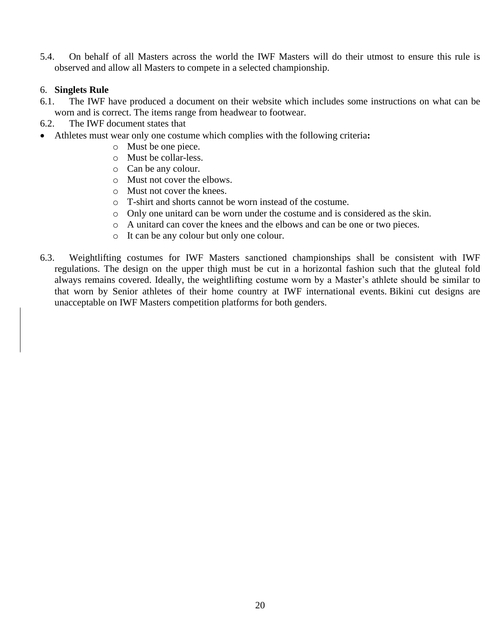5.4. On behalf of all Masters across the world the IWF Masters will do their utmost to ensure this rule is observed and allow all Masters to compete in a selected championship.

# 6. **Singlets Rule**

- 6.1. The IWF have produced a document on their website which includes some instructions on what can be worn and is correct. The items range from headwear to footwear.
- 6.2. The IWF document states that
- Athletes must wear only one costume which complies with the following criteria**:**
	- o Must be one piece.
	- o Must be collar-less.
	- o Can be any colour.
	- o Must not cover the elbows.
	- o Must not cover the knees.
	- o T-shirt and shorts cannot be worn instead of the costume.
	- o Only one unitard can be worn under the costume and is considered as the skin.
	- o A unitard can cover the knees and the elbows and can be one or two pieces.
	- o It can be any colour but only one colour.
- 6.3. Weightlifting costumes for IWF Masters sanctioned championships shall be consistent with IWF regulations. The design on the upper thigh must be cut in a horizontal fashion such that the gluteal fold always remains covered. Ideally, the weightlifting costume worn by a Master's athlete should be similar to that worn by Senior athletes of their home country at IWF international events. Bikini cut designs are unacceptable on IWF Masters competition platforms for both genders.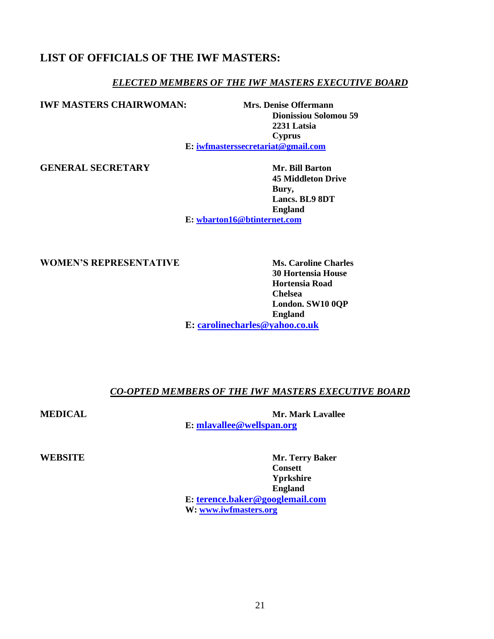# **LIST OF OFFICIALS OF THE IWF MASTERS:**

# *ELECTED MEMBERS OF THE IWF MASTERS EXECUTIVE BOARD*

**IWF MASTERS CHAIRWOMAN:** Mrs. Denise Offermann

**Dionissiou Solomou 59 2231 Latsia Cyprus E: [iwfmasterssecretariat@gmail.com](mailto:iwfmasterssecretariat@gmail.com)**

**GENERAL SECRETARY Mr. Bill Barton**

**45 Middleton Drive Bury, Lancs. BL9 8DT England**

**E: [wbarton16@btinternet.com](mailto:wbarton16@btinternet.com)**

**WOMEN'S REPRESENTATIVE Ms. Caroline Charles** 

**30 Hortensia House Hortensia Road Chelsea London. SW10 0QP England E: [carolinecharles@yahoo.co.uk](mailto:carolinecharles@yahoo.co.uk)**

# *CO-OPTED MEMBERS OF THE IWF MASTERS EXECUTIVE BOARD*

**MEDICAL Mr. Mark Lavallee E: [mlavallee@wellspan.org](mailto:mlavallee@wellspan.org)**

**WEBSITE Mr. Terry Baker Consett Yprkshire England E: [terence.baker@googlemail.com](mailto:terence.baker@googlemail.com) W: [www.iwfmasters.org](http://www.iwfmasters.org/)**